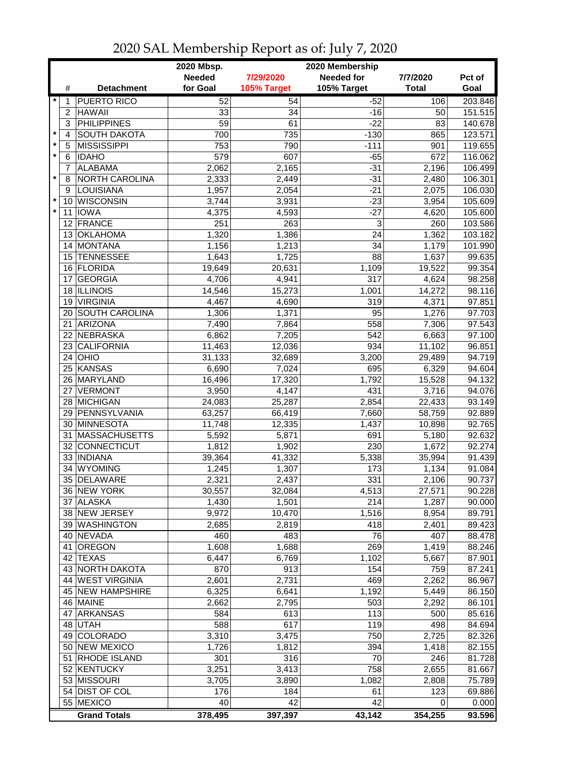|                         |                |                              | 2020 Mbsp.     | 2020 Membership |                   |                 |                    |  |  |
|-------------------------|----------------|------------------------------|----------------|-----------------|-------------------|-----------------|--------------------|--|--|
|                         |                |                              | <b>Needed</b>  | 7/29/2020       | <b>Needed for</b> | 7/7/2020        | Pct of             |  |  |
|                         | #              | <b>Detachment</b>            | for Goal       | 105% Target     | 105% Target       | <b>Total</b>    | Goal               |  |  |
| $\star$                 | 1              | <b>PUERTO RICO</b>           | 52             | 54              | $-52$             | 106             | 203.846            |  |  |
|                         | $\overline{2}$ | <b>HAWAII</b>                | 33             | 34              | $-16$             | 50              | 151.515            |  |  |
|                         | 3              | <b>PHILIPPINES</b>           | 59             | 61              | $-22$             | 83              | 140.678            |  |  |
| $\star$                 | 4              | <b>SOUTH DAKOTA</b>          | 700            | 735             | $-130$            | 865             | 123.571            |  |  |
| $\pmb{\ast}$<br>$\star$ | 5              | <b>MISSISSIPPI</b>           | 753            | 790             | $-111$            | 901             | 119.655            |  |  |
|                         | 6              | <b>IDAHO</b>                 | 579            | 607             | $-65$             | 672             | 116.062            |  |  |
| $\star$                 | 7              | <b>ALABAMA</b>               | 2,062          | 2,165           | $-31$             | 2,196           | 106.499            |  |  |
|                         | 8              | NORTH CAROLINA<br>LOUISIANA  | 2,333          | 2,449<br>2,054  | $-31$<br>$-21$    | 2,480           | 106.301            |  |  |
| $\star$                 | 9<br>10        | <b>WISCONSIN</b>             | 1,957<br>3,744 | 3,931           | $-23$             | 2,075<br>3,954  | 106.030<br>105.609 |  |  |
| $\star$                 | 11             | <b>IOWA</b>                  | 4,375          | 4,593           | $-27$             | 4,620           | 105.600            |  |  |
|                         |                | 12 FRANCE                    | 251            | 263             | 3                 | 260             | 103.586            |  |  |
|                         |                | 13 OKLAHOMA                  | 1,320          | 1,386           | 24                | 1,362           | 103.182            |  |  |
|                         |                | 14 MONTANA                   | 1,156          | 1,213           | 34                | 1,179           | 101.990            |  |  |
|                         |                | 15 TENNESSEE                 | 1,643          | 1,725           | 88                | 1,637           | 99.635             |  |  |
|                         |                | 16 FLORIDA                   | 19,649         | 20,631          | 1,109             | 19,522          | 99.354             |  |  |
|                         | 17             | <b>GEORGIA</b>               | 4,706          | 4,941           | $\overline{317}$  | 4,624           | 98.258             |  |  |
|                         |                | 18 ILLINOIS                  | 14,546         | 15,273          | 1,001             | 14,272          | 98.116             |  |  |
|                         | 19             | <b>VIRGINIA</b>              | 4,467          | 4,690           | 319               | 4,371           | 97.851             |  |  |
|                         | 20             | <b>SOUTH CAROLINA</b>        | 1,306          | 1,371           | 95                | 1,276           | 97.703             |  |  |
|                         | 21             | ARIZONA                      | 7,490          | 7,864           | 558               | 7,306           | 97.543             |  |  |
|                         | 22             | NEBRASKA                     | 6,862          | 7,205           | 542               | 6,663           | 97.100             |  |  |
|                         | 23             | <b>CALIFORNIA</b>            | 11,463         | 12,036          | 934               | 11,102          | 96.851             |  |  |
|                         | 24             | OHIO                         | 31,133         | 32,689          | 3,200             | 29,489          | 94.719             |  |  |
|                         | 25             | <b>KANSAS</b>                | 6,690          | 7,024           | 695               | 6,329           | 94.604             |  |  |
|                         | 26             | MARYLAND                     | 16,496         | 17,320          | 1,792             | 15,528          | 94.132             |  |  |
|                         |                | 27 VERMONT                   | 3,950          | 4,147           | 431               | 3,716           | 94.076             |  |  |
|                         |                | 28 MICHIGAN                  | 24,083         | 25,287          | 2,854             | 22,433          | 93.149             |  |  |
|                         |                | 29 PENNSYLVANIA              | 63,257         | 66,419          | 7,660             | 58,759          | 92.889             |  |  |
|                         |                | 30 MINNESOTA                 | 11,748         | 12,335          | 1,437             | 10,898          | 92.765             |  |  |
|                         |                | 31 MASSACHUSETTS             | 5,592          | 5,871           | 691               | 5,180           | 92.632             |  |  |
|                         |                | 32 CONNECTICUT               | 1,812          | 1,902           | 230               | 1,672           | 92.274             |  |  |
|                         | 34             | 33 INDIANA<br><b>WYOMING</b> | 39,364         | 41,332<br>1,307 | 5,338<br>173      | 35,994<br>1,134 | 91.439<br>91.084   |  |  |
|                         |                | 35 DELAWARE                  | 1,245<br>2,321 | 2,437           | 331               | 2,106           | 90.737             |  |  |
|                         |                | 36 NEW YORK                  | 30,557         | 32,084          | 4,513             | 27,571          | 90.228             |  |  |
|                         |                | 37 ALASKA                    | 1,430          | 1,501           | 214               | 1,287           | 90.000             |  |  |
|                         |                | 38 NEW JERSEY                | 9,972          | 10,470          | 1,516             | 8,954           | 89.791             |  |  |
|                         |                | 39 WASHINGTON                | 2,685          | 2,819           | 418               | 2,401           | 89.423             |  |  |
|                         |                | 40 NEVADA                    | 460            | 483             | 76                | 407             | 88.478             |  |  |
|                         | 41             | OREGON                       | 1,608          | 1,688           | 269               | 1,419           | 88.246             |  |  |
|                         |                | 42 TEXAS                     | 6,447          | 6,769           | 1,102             | 5,667           | 87.901             |  |  |
|                         |                | 43 NORTH DAKOTA              | 870            | 913             | 154               | 759             | 87.241             |  |  |
|                         |                | 44 WEST VIRGINIA             | 2,601          | 2,731           | 469               | 2,262           | 86.967             |  |  |
|                         |                | <b>45 NEW HAMPSHIRE</b>      | 6,325          | 6,641           | 1,192             | 5,449           | 86.150             |  |  |
|                         |                | 46 MAINE                     | 2,662          | 2,795           | 503               | 2,292           | 86.101             |  |  |
|                         |                | 47 ARKANSAS                  | 584            | 613             | 113               | 500             | 85.616             |  |  |
|                         |                | 48 UTAH                      | 588            | 617             | 119               | 498             | 84.694             |  |  |
|                         |                | 49 COLORADO                  | 3,310          | 3,475           | 750               | 2,725           | 82.326             |  |  |
|                         |                | 50 NEW MEXICO                | 1,726          | 1,812           | 394               | 1,418           | 82.155             |  |  |
|                         |                | 51 RHODE ISLAND              | 301            | 316             | 70                | 246             | 81.728             |  |  |
|                         |                | 52 KENTUCKY                  | 3,251          | 3,413           | 758               | 2,655           | 81.667             |  |  |
|                         |                | 53 MISSOURI                  | 3,705          | 3,890           | 1,082             | 2,808           | 75.789             |  |  |
|                         |                | 54 DIST OF COL               | 176            | 184             | 61                | 123             | 69.886             |  |  |
|                         |                | 55 MEXICO                    | 40             | 42              | 42                | 0               | 0.000              |  |  |
|                         |                | <b>Grand Totals</b>          | 378,495        | 397,397         | 43,142            | 354,255         | 93.596             |  |  |

## 2020 SAL Membership Report as of: July 7, 2020